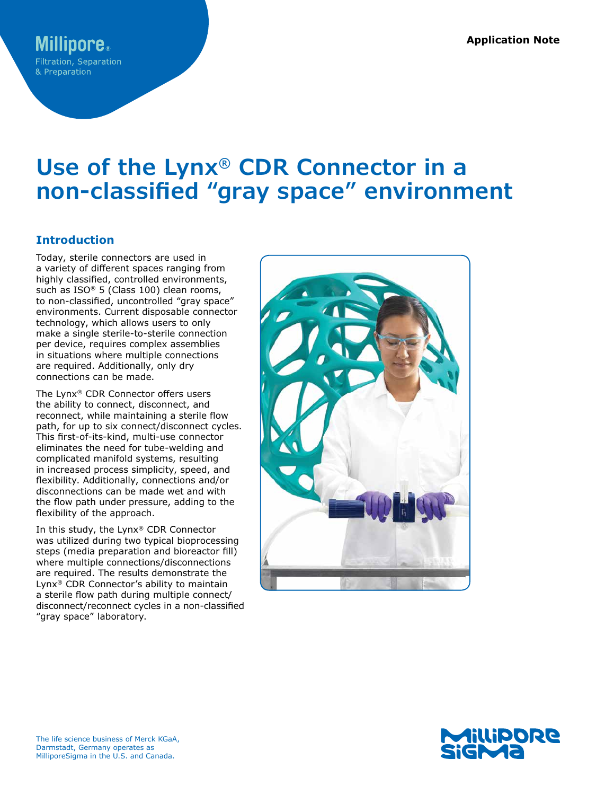# **Use of the Lynx® CDR Connector in a non-classified "gray space" environment**

## **Introduction**

Today, sterile connectors are used in a variety of different spaces ranging from highly classified, controlled environments, such as ISO® 5 (Class 100) clean rooms, to non-classified, uncontrolled "gray space" environments. Current disposable connector technology, which allows users to only make a single sterile-to-sterile connection per device, requires complex assemblies in situations where multiple connections are required. Additionally, only dry connections can be made.

The Lynx® CDR Connector offers users the ability to connect, disconnect, and reconnect, while maintaining a sterile flow path, for up to six connect/disconnect cycles. This first-of-its-kind, multi-use connector eliminates the need for tube-welding and complicated manifold systems, resulting in increased process simplicity, speed, and flexibility. Additionally, connections and/or disconnections can be made wet and with the flow path under pressure, adding to the flexibility of the approach.

In this study, the Lynx® CDR Connector was utilized during two typical bioprocessing steps (media preparation and bioreactor fill) where multiple connections/disconnections are required. The results demonstrate the Lynx® CDR Connector's ability to maintain a sterile flow path during multiple connect/ disconnect/reconnect cycles in a non-classified "gray space" laboratory.



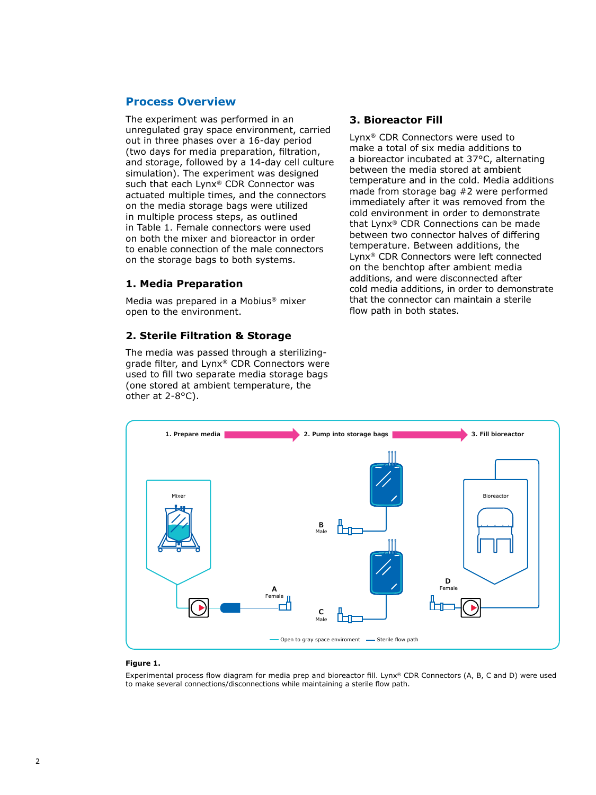### **Process Overview**

The experiment was performed in an unregulated gray space environment, carried out in three phases over a 16-day period (two days for media preparation, filtration, and storage, followed by a 14-day cell culture simulation). The experiment was designed such that each Lynx® CDR Connector was actuated multiple times, and the connectors on the media storage bags were utilized in multiple process steps, as outlined in Table 1. Female connectors were used on both the mixer and bioreactor in order to enable connection of the male connectors on the storage bags to both systems.

### **1. Media Preparation**

Media was prepared in a Mobius® mixer open to the environment.

### **2. Sterile Filtration & Storage**

The media was passed through a sterilizinggrade filter, and Lynx® CDR Connectors were used to fill two separate media storage bags (one stored at ambient temperature, the other at 2-8°C).

### **3. Bioreactor Fill**

Lynx® CDR Connectors were used to make a total of six media additions to a bioreactor incubated at 37°C, alternating between the media stored at ambient temperature and in the cold. Media additions made from storage bag #2 were performed immediately after it was removed from the cold environment in order to demonstrate that Lynx® CDR Connections can be made between two connector halves of differing temperature. Between additions, the Lynx® CDR Connectors were left connected on the benchtop after ambient media additions, and were disconnected after cold media additions, in order to demonstrate that the connector can maintain a sterile flow path in both states.



### **Figure 1.**

Experimental process flow diagram for media prep and bioreactor fill. Lynx® CDR Connectors (A, B, C and D) were used to make several connections/disconnections while maintaining a sterile flow path.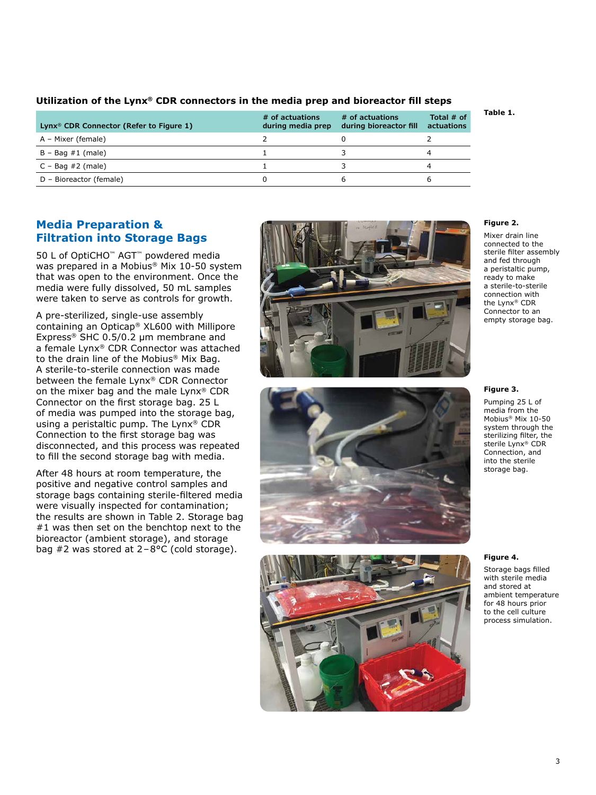| Lynx <sup>®</sup> CDR Connector (Refer to Figure 1) | # of actuations<br>during media prep | # of actuations<br>during bioreactor fill | Total $#$ of<br>actuations |
|-----------------------------------------------------|--------------------------------------|-------------------------------------------|----------------------------|
| A – Mixer (female)                                  |                                      |                                           |                            |
| $B - Baq \#1$ (male)                                |                                      |                                           |                            |
| $C - Baq \#2$ (male)                                |                                      |                                           |                            |
| D - Bioreactor (female)                             |                                      | ь                                         |                            |

### **Utilization of the Lynx® CDR connectors in the media prep and bioreactor fill steps**

### **Media Preparation & Filtration into Storage Bags**

50 L of OptiCHO™ AGT™ powdered media was prepared in a Mobius® Mix 10-50 system that was open to the environment. Once the media were fully dissolved, 50 mL samples were taken to serve as controls for growth.

A pre-sterilized, single-use assembly containing an Opticap® XL600 with Millipore Express® SHC 0.5/0.2 μm membrane and a female Lynx® CDR Connector was attached to the drain line of the Mobius® Mix Bag. A sterile-to-sterile connection was made between the female Lynx® CDR Connector on the mixer bag and the male Lynx® CDR Connector on the first storage bag. 25 L of media was pumped into the storage bag, using a peristaltic pump. The Lynx® CDR Connection to the first storage bag was disconnected, and this process was repeated to fill the second storage bag with media.

After 48 hours at room temperature, the positive and negative control samples and storage bags containing sterile-filtered media were visually inspected for contamination; the results are shown in Table 2. Storage bag #1 was then set on the benchtop next to the bioreactor (ambient storage), and storage bag #2 was stored at 2–8°C (cold storage).







#### **Figure 2.**

**Table 1.**

Mixer drain line connected to the sterile filter assembly and fed through a peristaltic pump, ready to make a sterile-to-sterile connection with the Lynx® CDR Connector to an empty storage bag.

#### **Figure 3.**

Pumping 25 L of media from the Mobius® Mix 10-50 system through the sterilizing filter, the sterile Lynx® CDR Connection, and into the sterile storage bag.

#### **Figure 4.**

Storage bags filled with sterile media and stored at ambient temperature for 48 hours prior to the cell culture process simulation.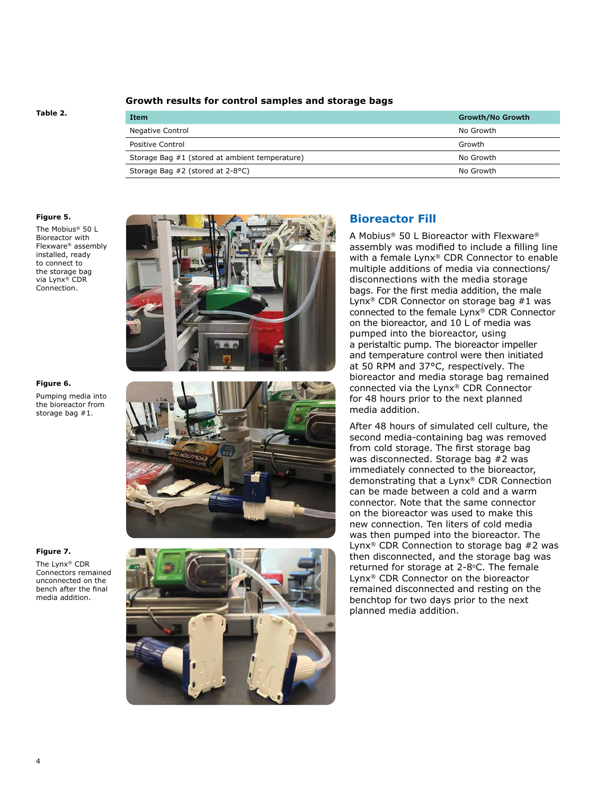### **Growth results for control samples and storage bags**

#### **Table 2.**

| <b>Item</b>                                    | Growth/No Growth |
|------------------------------------------------|------------------|
| Negative Control                               | No Growth        |
| Positive Control                               | Growth           |
| Storage Bag #1 (stored at ambient temperature) | No Growth        |
| Storage Bag #2 (stored at 2-8°C)               | No Growth        |

#### **Figure 5.**

The Mobius® 50 L Bioreactor with Flexware® assembly installed, ready to connect to the storage bag via Lynx® CDR Connection.



Pumping media into the bioreactor from storage bag #1.

### **Figure 7.**

The Lynx® CDR Connectors remained unconnected on the bench after the final media addition.







### **Bioreactor Fill**

A Mobius® 50 L Bioreactor with Flexware® assembly was modified to include a filling line with a female Lynx® CDR Connector to enable multiple additions of media via connections/ disconnections with the media storage bags. For the first media addition, the male Lynx® CDR Connector on storage bag #1 was connected to the female Lynx® CDR Connector on the bioreactor, and 10 L of media was pumped into the bioreactor, using a peristaltic pump. The bioreactor impeller and temperature control were then initiated at 50 RPM and 37°C, respectively. The bioreactor and media storage bag remained connected via the Lynx® CDR Connector for 48 hours prior to the next planned media addition.

After 48 hours of simulated cell culture, the second media-containing bag was removed from cold storage. The first storage bag was disconnected. Storage bag #2 was immediately connected to the bioreactor, demonstrating that a Lynx® CDR Connection can be made between a cold and a warm connector. Note that the same connector on the bioreactor was used to make this new connection. Ten liters of cold media was then pumped into the bioreactor. The Lynx® CDR Connection to storage bag #2 was then disconnected, and the storage bag was returned for storage at 2-8°C. The female Lynx® CDR Connector on the bioreactor remained disconnected and resting on the benchtop for two days prior to the next planned media addition.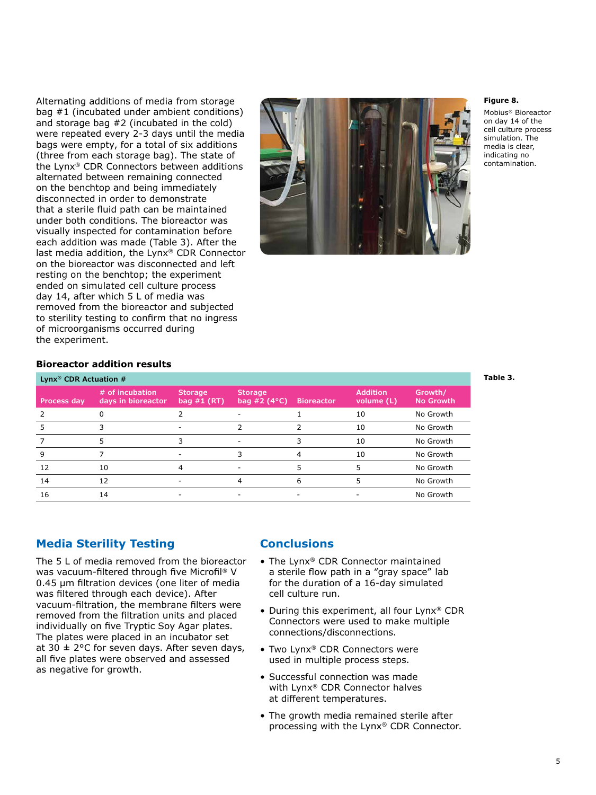Alternating additions of media from storage bag #1 (incubated under ambient conditions) and storage bag #2 (incubated in the cold) were repeated every 2-3 days until the media bags were empty, for a total of six additions (three from each storage bag). The state of the Lynx® CDR Connectors between additions alternated between remaining connected on the benchtop and being immediately disconnected in order to demonstrate that a sterile fluid path can be maintained under both conditions. The bioreactor was visually inspected for contamination before each addition was made (Table 3). After the last media addition, the Lynx® CDR Connector on the bioreactor was disconnected and left resting on the benchtop; the experiment ended on simulated cell culture process day 14, after which 5 L of media was removed from the bioreactor and subjected to sterility testing to confirm that no ingress of microorganisms occurred during the experiment.



#### **Figure 8.**

Mobius® Bioreactor on day 14 of the cell culture process simulation. The media is clear, indicating no contamination.

#### **Bioreactor addition results**

| Lynx <sup>®</sup> CDR Actuation $#$ |                                       |                                 |                                         |                   |                               |                             |  |  |  |
|-------------------------------------|---------------------------------------|---------------------------------|-----------------------------------------|-------------------|-------------------------------|-----------------------------|--|--|--|
| Process day                         | # of incubation<br>days in bioreactor | <b>Storage</b><br>bag $#1$ (RT) | <b>Storage</b><br>bag #2 $(4^{\circ}C)$ | <b>Bioreactor</b> | <b>Addition</b><br>volume (L) | Growth/<br><b>No Growth</b> |  |  |  |
|                                     |                                       |                                 |                                         |                   | 10                            | No Growth                   |  |  |  |
|                                     |                                       |                                 |                                         |                   | 10                            | No Growth                   |  |  |  |
|                                     |                                       |                                 |                                         |                   | 10                            | No Growth                   |  |  |  |
| 9                                   |                                       |                                 |                                         |                   | 10                            | No Growth                   |  |  |  |
| 12                                  | 10                                    |                                 |                                         |                   | 5                             | No Growth                   |  |  |  |
| 14                                  | 12                                    |                                 |                                         | 6                 |                               | No Growth                   |  |  |  |
| 16                                  | 14                                    |                                 |                                         |                   |                               | No Growth                   |  |  |  |

### **Media Sterility Testing**

The 5 L of media removed from the bioreactor was vacuum-filtered through five Microfil® V 0.45 μm filtration devices (one liter of media was filtered through each device). After vacuum-filtration, the membrane filters were removed from the filtration units and placed individually on five Tryptic Soy Agar plates. The plates were placed in an incubator set at 30  $\pm$  2°C for seven days. After seven days, all five plates were observed and assessed as negative for growth.

### **Conclusions**

- The Lynx® CDR Connector maintained a sterile flow path in a "gray space" lab for the duration of a 16-day simulated cell culture run.
- During this experiment, all four Lynx® CDR Connectors were used to make multiple connections/disconnections.
- Two Lynx® CDR Connectors were used in multiple process steps.
- Successful connection was made with Lynx® CDR Connector halves at different temperatures.
- The growth media remained sterile after processing with the Lynx® CDR Connector.

#### **Table 3.**